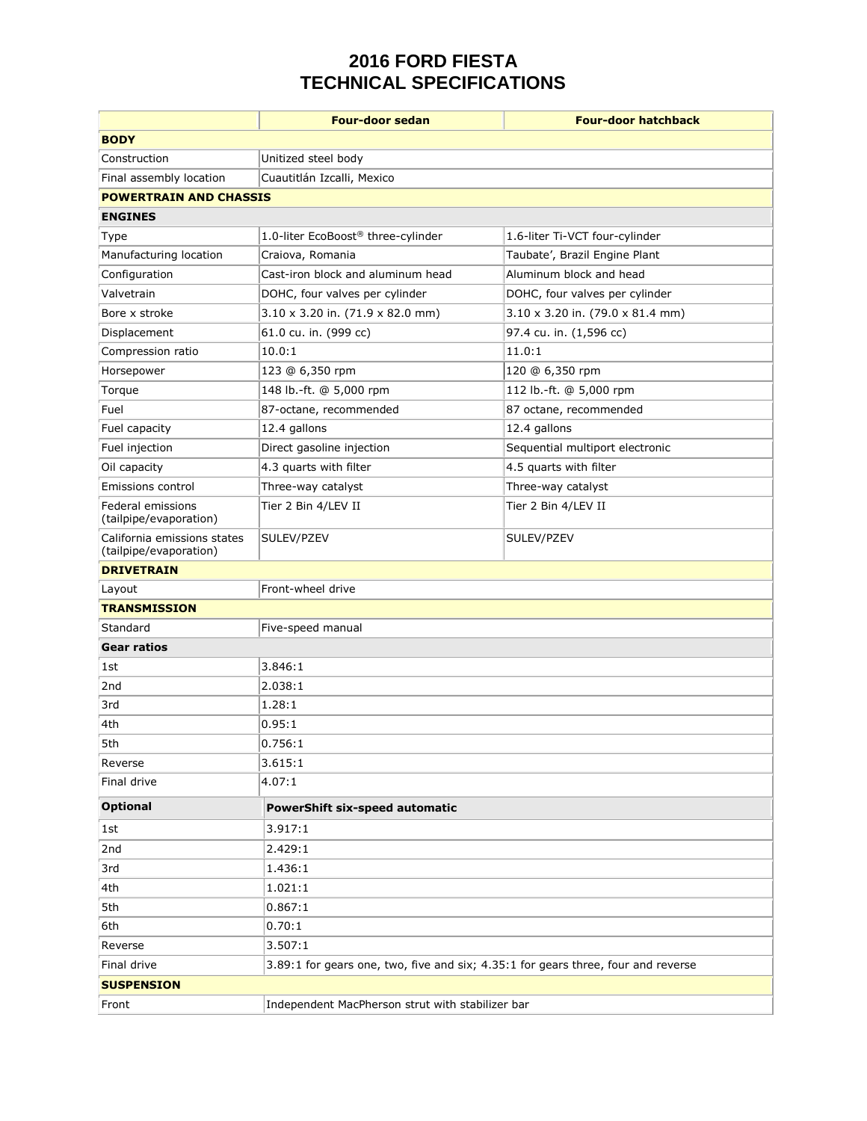## **2016 FORD FIESTA TECHNICAL SPECIFICATIONS**

|                                                       | <b>Four-door sedan</b>                                                            | <b>Four-door hatchback</b>                     |  |
|-------------------------------------------------------|-----------------------------------------------------------------------------------|------------------------------------------------|--|
| <b>BODY</b>                                           |                                                                                   |                                                |  |
| Construction                                          | Unitized steel body                                                               |                                                |  |
| Final assembly location                               | Cuautitlán Izcalli, Mexico                                                        |                                                |  |
| <b>POWERTRAIN AND CHASSIS</b>                         |                                                                                   |                                                |  |
| <b>ENGINES</b>                                        |                                                                                   |                                                |  |
| Type                                                  | 1.0-liter EcoBoost® three-cylinder                                                | 1.6-liter Ti-VCT four-cylinder                 |  |
| Manufacturing location                                | Craiova, Romania                                                                  | Taubate', Brazil Engine Plant                  |  |
| Configuration                                         | Cast-iron block and aluminum head                                                 | Aluminum block and head                        |  |
| Valvetrain                                            | DOHC, four valves per cylinder                                                    | DOHC, four valves per cylinder                 |  |
| Bore x stroke                                         | $3.10 \times 3.20$ in. (71.9 x 82.0 mm)                                           | $3.10 \times 3.20$ in. (79.0 $\times$ 81.4 mm) |  |
| Displacement                                          | 61.0 cu. in. (999 cc)                                                             | 97.4 cu. in. (1,596 cc)                        |  |
| Compression ratio                                     | 10.0:1                                                                            | 11.0:1                                         |  |
| Horsepower                                            | 123 @ 6,350 rpm                                                                   | 120 @ 6,350 rpm                                |  |
| Torque                                                | 148 lb.-ft. @ 5,000 rpm                                                           | 112 lb.-ft. @ 5,000 rpm                        |  |
| Fuel                                                  | 87-octane, recommended                                                            | 87 octane, recommended                         |  |
| Fuel capacity                                         | 12.4 gallons                                                                      | 12.4 gallons                                   |  |
| Fuel injection                                        | Direct gasoline injection                                                         | Sequential multiport electronic                |  |
| Oil capacity                                          | 4.3 quarts with filter                                                            | 4.5 quarts with filter                         |  |
| Emissions control                                     | Three-way catalyst                                                                | Three-way catalyst                             |  |
| Federal emissions<br>(tailpipe/evaporation)           | Tier 2 Bin 4/LEV II                                                               | Tier 2 Bin 4/LEV II                            |  |
| California emissions states<br>(tailpipe/evaporation) | SULEV/PZEV                                                                        | SULEV/PZEV                                     |  |
| <b>DRIVETRAIN</b>                                     |                                                                                   |                                                |  |
| Layout                                                | Front-wheel drive                                                                 |                                                |  |
| <b>TRANSMISSION</b>                                   |                                                                                   |                                                |  |
| Standard                                              | Five-speed manual                                                                 |                                                |  |
| <b>Gear ratios</b>                                    |                                                                                   |                                                |  |
| 1st                                                   | 3.846:1                                                                           |                                                |  |
| 2nd                                                   | 2.038:1                                                                           |                                                |  |
| 3rd                                                   | 1.28:1                                                                            |                                                |  |
| 4th                                                   | 0.95:1                                                                            |                                                |  |
| 5th                                                   | 0.756:1                                                                           |                                                |  |
| Reverse                                               | 3.615:1                                                                           |                                                |  |
| Final drive                                           | 4.07:1                                                                            |                                                |  |
| <b>Optional</b>                                       | <b>PowerShift six-speed automatic</b>                                             |                                                |  |
| 1st                                                   | 3.917:1                                                                           |                                                |  |
| 2nd                                                   | 2.429:1                                                                           |                                                |  |
| 3rd                                                   | 1.436:1                                                                           |                                                |  |
| 4th                                                   | 1.021:1                                                                           |                                                |  |
| 5th                                                   | 0.867:1                                                                           |                                                |  |
| 6th                                                   | 0.70:1                                                                            |                                                |  |
| Reverse                                               | 3.507:1                                                                           |                                                |  |
| Final drive                                           | 3.89:1 for gears one, two, five and six; 4.35:1 for gears three, four and reverse |                                                |  |
| <b>SUSPENSION</b>                                     |                                                                                   |                                                |  |
| Front                                                 | Independent MacPherson strut with stabilizer bar                                  |                                                |  |